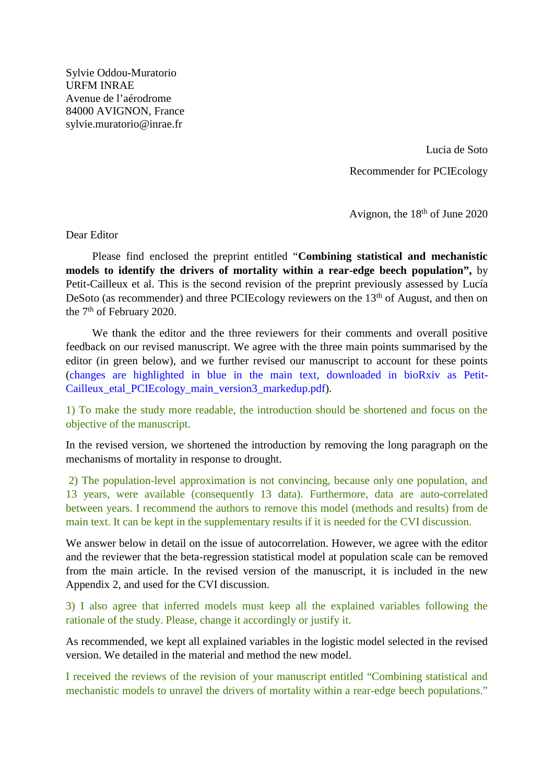Sylvie Oddou-Muratorio URFM INRAE Avenue de l'aérodrome 84000 AVIGNON, France sylvie.muratorio@inrae.fr

> Lucia de Soto Recommender for PCIEcology

Avignon, the 18<sup>th</sup> of June 2020

Dear Editor

Please find enclosed the preprint entitled "**Combining statistical and mechanistic models to identify the drivers of mortality within a rear-edge beech population",** by Petit-Cailleux et al. This is the second revision of the preprint previously assessed by Lucía DeSoto (as recommender) and three PCIEcology reviewers on the 13<sup>th</sup> of August, and then on the 7th of February 2020.

We thank the editor and the three reviewers for their comments and overall positive feedback on our revised manuscript. We agree with the three main points summarised by the editor (in green below), and we further revised our manuscript to account for these points (changes are highlighted in blue in the main text, downloaded in bioRxiv as Petit-Cailleux\_etal\_PCIEcology\_main\_version3\_markedup.pdf).

1) To make the study more readable, the introduction should be shortened and focus on the objective of the manuscript.

In the revised version, we shortened the introduction by removing the long paragraph on the mechanisms of mortality in response to drought.

2) The population-level approximation is not convincing, because only one population, and 13 years, were available (consequently 13 data). Furthermore, data are auto-correlated between years. I recommend the authors to remove this model (methods and results) from de main text. It can be kept in the supplementary results if it is needed for the CVI discussion.

We answer below in detail on the issue of autocorrelation. However, we agree with the editor and the reviewer that the beta-regression statistical model at population scale can be removed from the main article. In the revised version of the manuscript, it is included in the new Appendix 2, and used for the CVI discussion.

3) I also agree that inferred models must keep all the explained variables following the rationale of the study. Please, change it accordingly or justify it.

As recommended, we kept all explained variables in the logistic model selected in the revised version. We detailed in the material and method the new model.

I received the reviews of the revision of your manuscript entitled "Combining statistical and mechanistic models to unravel the drivers of mortality within a rear-edge beech populations."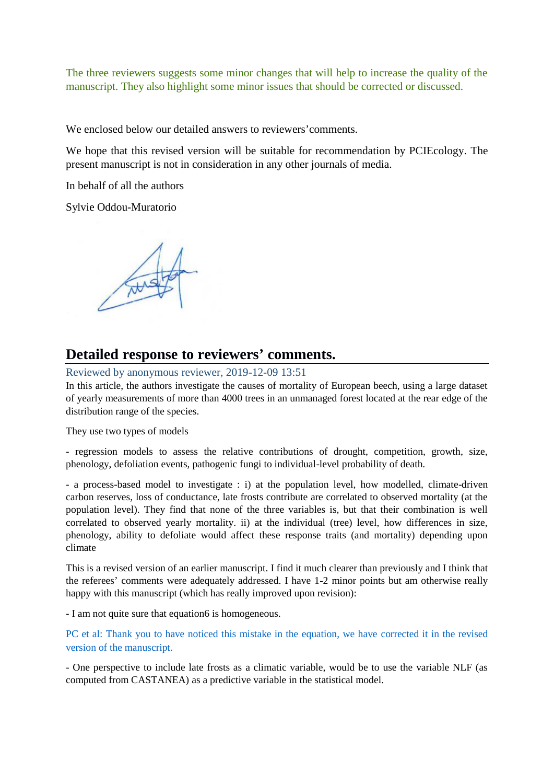The three reviewers suggests some minor changes that will help to increase the quality of the manuscript. They also highlight some minor issues that should be corrected or discussed.

We enclosed below our detailed answers to reviewers' comments.

We hope that this revised version will be suitable for recommendation by PCIEcology. The present manuscript is not in consideration in any other journals of media.

In behalf of all the authors

Sylvie Oddou-Muratorio

# **Detailed response to reviewers' comments.**

Reviewed by anonymous reviewer, 2019-12-09 13:51

In this article, the authors investigate the causes of mortality of European beech, using a large dataset of yearly measurements of more than 4000 trees in an unmanaged forest located at the rear edge of the distribution range of the species.

They use two types of models

- regression models to assess the relative contributions of drought, competition, growth, size, phenology, defoliation events, pathogenic fungi to individual-level probability of death.

- a process-based model to investigate : i) at the population level, how modelled, climate-driven carbon reserves, loss of conductance, late frosts contribute are correlated to observed mortality (at the population level). They find that none of the three variables is, but that their combination is well correlated to observed yearly mortality. ii) at the individual (tree) level, how differences in size, phenology, ability to defoliate would affect these response traits (and mortality) depending upon climate

This is a revised version of an earlier manuscript. I find it much clearer than previously and I think that the referees' comments were adequately addressed. I have 1-2 minor points but am otherwise really happy with this manuscript (which has really improved upon revision):

- I am not quite sure that equation6 is homogeneous.

PC et al: Thank you to have noticed this mistake in the equation, we have corrected it in the revised version of the manuscript.

- One perspective to include late frosts as a climatic variable, would be to use the variable NLF (as computed from CASTANEA) as a predictive variable in the statistical model.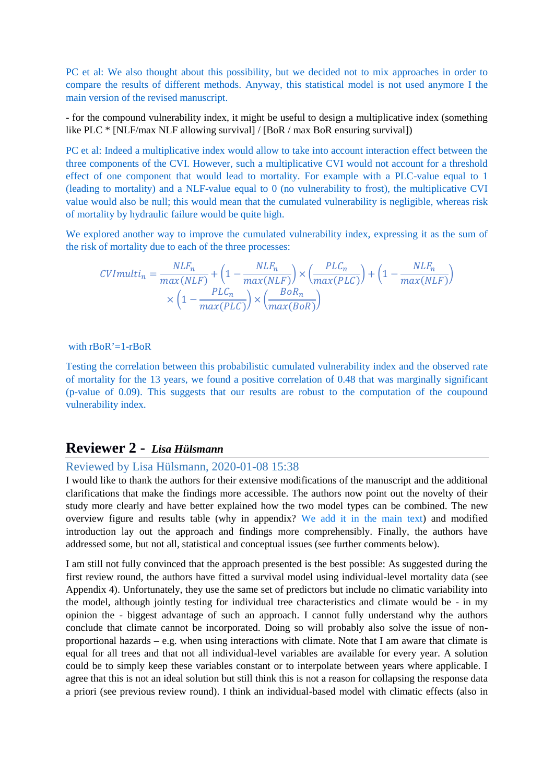PC et al: We also thought about this possibility, but we decided not to mix approaches in order to compare the results of different methods. Anyway, this statistical model is not used anymore I the main version of the revised manuscript.

- for the compound vulnerability index, it might be useful to design a multiplicative index (something like PLC \* [NLF/max NLF allowing survival] / [BoR / max BoR ensuring survival])

PC et al: Indeed a multiplicative index would allow to take into account interaction effect between the three components of the CVI. However, such a multiplicative CVI would not account for a threshold effect of one component that would lead to mortality. For example with a PLC-value equal to 1 (leading to mortality) and a NLF-value equal to 0 (no vulnerability to frost), the multiplicative CVI value would also be null; this would mean that the cumulated vulnerability is negligible, whereas risk of mortality by hydraulic failure would be quite high.

We explored another way to improve the cumulated vulnerability index, expressing it as the sum of the risk of mortality due to each of the three processes:

$$
CVImulti_n = \frac{NLF_n}{max(NLF)} + \left(1 - \frac{NLF_n}{max(NLF)}\right) \times \left(\frac{PLC_n}{max(PLC)}\right) + \left(1 - \frac{NLF_n}{max(NLF)}\right) \times \left(1 - \frac{PLC_n}{max(PLC)}\right) \times \left(\frac{BOR_n}{max(BOR)}\right)
$$

with rBoR'=1-rBoR

Testing the correlation between this probabilistic cumulated vulnerability index and the observed rate of mortality for the 13 years, we found a positive correlation of 0.48 that was marginally significant (p-value of 0.09). This suggests that our results are robust to the computation of the coupound vulnerability index.

## **Reviewer 2 -** *Lisa Hülsmann*

### Reviewed by Lisa Hülsmann, 2020-01-08 15:38

I would like to thank the authors for their extensive modifications of the manuscript and the additional clarifications that make the findings more accessible. The authors now point out the novelty of their study more clearly and have better explained how the two model types can be combined. The new overview figure and results table (why in appendix? We add it in the main text) and modified introduction lay out the approach and findings more comprehensibly. Finally, the authors have addressed some, but not all, statistical and conceptual issues (see further comments below).

I am still not fully convinced that the approach presented is the best possible: As suggested during the first review round, the authors have fitted a survival model using individual-level mortality data (see Appendix 4). Unfortunately, they use the same set of predictors but include no climatic variability into the model, although jointly testing for individual tree characteristics and climate would be - in my opinion the - biggest advantage of such an approach. I cannot fully understand why the authors conclude that climate cannot be incorporated. Doing so will probably also solve the issue of nonproportional hazards – e.g. when using interactions with climate. Note that I am aware that climate is equal for all trees and that not all individual-level variables are available for every year. A solution could be to simply keep these variables constant or to interpolate between years where applicable. I agree that this is not an ideal solution but still think this is not a reason for collapsing the response data a priori (see previous review round). I think an individual-based model with climatic effects (also in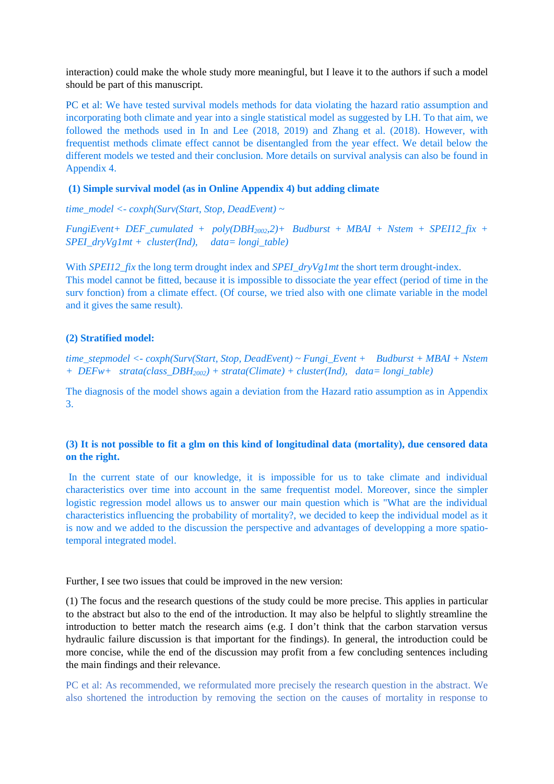interaction) could make the whole study more meaningful, but I leave it to the authors if such a model should be part of this manuscript.

PC et al: We have tested survival models methods for data violating the hazard ratio assumption and incorporating both climate and year into a single statistical model as suggested by LH. To that aim, we followed the methods used in In and Lee (2018, 2019) and Zhang et al. (2018). However, with frequentist methods climate effect cannot be disentangled from the year effect. We detail below the different models we tested and their conclusion. More details on survival analysis can also be found in Appendix 4.

#### **(1) Simple survival model (as in Online Appendix 4) but adding climate**

*time\_model <- coxph(Surv(Start, Stop, DeadEvent) ~* 

*FungiEvent+ DEF\_cumulated + poly(DBH2002,2)+ Budburst + MBAI + Nstem + SPEI12\_fix + SPEI\_dryVg1mt + cluster(Ind), data= longi\_table)*

With *SPEI12\_fix* the long term drought index and *SPEI\_dryVg1mt* the short term drought-index. This model cannot be fitted, because it is impossible to dissociate the year effect (period of time in the surv fonction) from a climate effect. (Of course, we tried also with one climate variable in the model and it gives the same result).

#### **(2) Stratified model:**

*time\_stepmodel <- coxph(Surv(Start, Stop, DeadEvent) ~ Fungi\_Event + Budburst + MBAI + Nstem + DEFw+ strata(class\_DBH2002) + strata(Climate) + cluster(Ind), data= longi\_table)*

The diagnosis of the model shows again a deviation from the Hazard ratio assumption as in Appendix 3.

#### **(3) It is not possible to fit a glm on this kind of longitudinal data (mortality), due censored data on the right.**

In the current state of our knowledge, it is impossible for us to take climate and individual characteristics over time into account in the same frequentist model. Moreover, since the simpler logistic regression model allows us to answer our main question which is "What are the individual characteristics influencing the probability of mortality?, we decided to keep the individual model as it is now and we added to the discussion the perspective and advantages of developping a more spatiotemporal integrated model.

Further, I see two issues that could be improved in the new version:

(1) The focus and the research questions of the study could be more precise. This applies in particular to the abstract but also to the end of the introduction. It may also be helpful to slightly streamline the introduction to better match the research aims (e.g. I don't think that the carbon starvation versus hydraulic failure discussion is that important for the findings). In general, the introduction could be more concise, while the end of the discussion may profit from a few concluding sentences including the main findings and their relevance.

PC et al: As recommended, we reformulated more precisely the research question in the abstract. We also shortened the introduction by removing the section on the causes of mortality in response to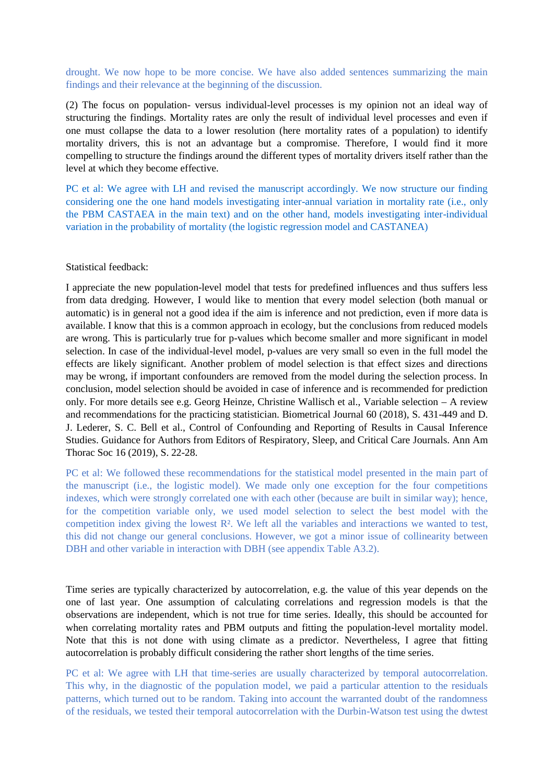drought. We now hope to be more concise. We have also added sentences summarizing the main findings and their relevance at the beginning of the discussion.

(2) The focus on population- versus individual-level processes is my opinion not an ideal way of structuring the findings. Mortality rates are only the result of individual level processes and even if one must collapse the data to a lower resolution (here mortality rates of a population) to identify mortality drivers, this is not an advantage but a compromise. Therefore, I would find it more compelling to structure the findings around the different types of mortality drivers itself rather than the level at which they become effective.

PC et al: We agree with LH and revised the manuscript accordingly. We now structure our finding considering one the one hand models investigating inter-annual variation in mortality rate (i.e., only the PBM CASTAEA in the main text) and on the other hand, models investigating inter-individual variation in the probability of mortality (the logistic regression model and CASTANEA)

#### Statistical feedback:

I appreciate the new population-level model that tests for predefined influences and thus suffers less from data dredging. However, I would like to mention that every model selection (both manual or automatic) is in general not a good idea if the aim is inference and not prediction, even if more data is available. I know that this is a common approach in ecology, but the conclusions from reduced models are wrong. This is particularly true for p-values which become smaller and more significant in model selection. In case of the individual-level model, p-values are very small so even in the full model the effects are likely significant. Another problem of model selection is that effect sizes and directions may be wrong, if important confounders are removed from the model during the selection process. In conclusion, model selection should be avoided in case of inference and is recommended for prediction only. For more details see e.g. Georg Heinze, Christine Wallisch et al., Variable selection – A review and recommendations for the practicing statistician. Biometrical Journal 60 (2018), S. 431-449 and D. J. Lederer, S. C. Bell et al., Control of Confounding and Reporting of Results in Causal Inference Studies. Guidance for Authors from Editors of Respiratory, Sleep, and Critical Care Journals. Ann Am Thorac Soc 16 (2019), S. 22-28.

PC et al: We followed these recommendations for the statistical model presented in the main part of the manuscript (i.e., the logistic model). We made only one exception for the four competitions indexes, which were strongly correlated one with each other (because are built in similar way); hence, for the competition variable only, we used model selection to select the best model with the competition index giving the lowest R². We left all the variables and interactions we wanted to test, this did not change our general conclusions. However, we got a minor issue of collinearity between DBH and other variable in interaction with DBH (see appendix Table A3.2).

Time series are typically characterized by autocorrelation, e.g. the value of this year depends on the one of last year. One assumption of calculating correlations and regression models is that the observations are independent, which is not true for time series. Ideally, this should be accounted for when correlating mortality rates and PBM outputs and fitting the population-level mortality model. Note that this is not done with using climate as a predictor. Nevertheless, I agree that fitting autocorrelation is probably difficult considering the rather short lengths of the time series.

PC et al: We agree with LH that time-series are usually characterized by temporal autocorrelation. This why, in the diagnostic of the population model, we paid a particular attention to the residuals patterns, which turned out to be random. Taking into account the warranted doubt of the randomness of the residuals, we tested their temporal autocorrelation with the Durbin-Watson test using the dwtest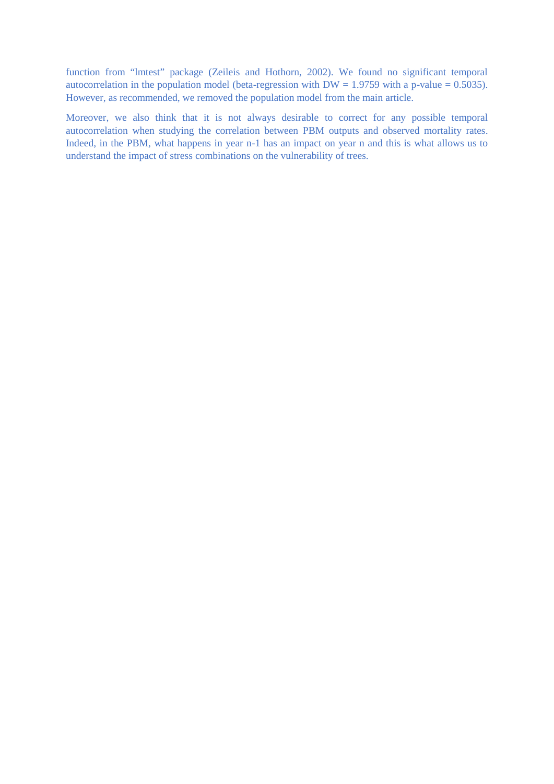function from "lmtest" package (Zeileis and Hothorn, 2002). We found no significant temporal autocorrelation in the population model (beta-regression with  $DW = 1.9759$  with a p-value = 0.5035). However, as recommended, we removed the population model from the main article.

Moreover, we also think that it is not always desirable to correct for any possible temporal autocorrelation when studying the correlation between PBM outputs and observed mortality rates. Indeed, in the PBM, what happens in year n-1 has an impact on year n and this is what allows us to understand the impact of stress combinations on the vulnerability of trees.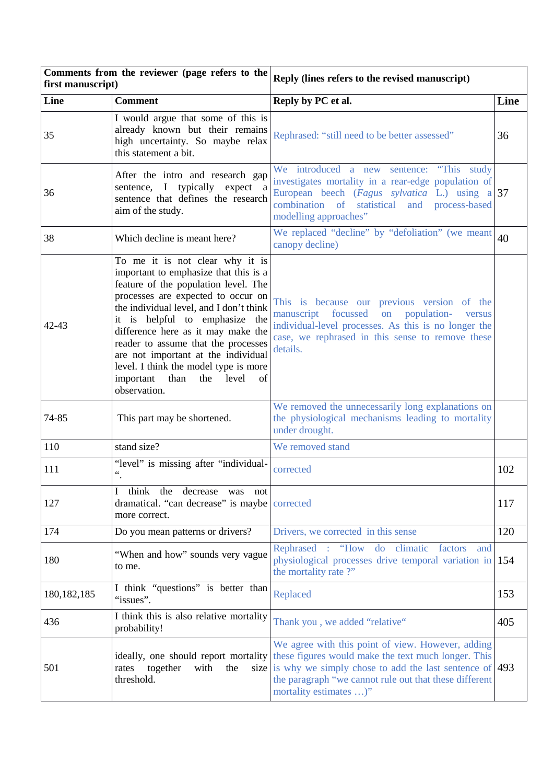| Comments from the reviewer (page refers to the<br>first manuscript) |                                                                                                                                                                                                                                                                                                                                                                                                                                                          | Reply (lines refers to the revised manuscript)                                                                                                                                                                                                                        |      |
|---------------------------------------------------------------------|----------------------------------------------------------------------------------------------------------------------------------------------------------------------------------------------------------------------------------------------------------------------------------------------------------------------------------------------------------------------------------------------------------------------------------------------------------|-----------------------------------------------------------------------------------------------------------------------------------------------------------------------------------------------------------------------------------------------------------------------|------|
| Line                                                                | <b>Comment</b>                                                                                                                                                                                                                                                                                                                                                                                                                                           | Reply by PC et al.                                                                                                                                                                                                                                                    | Line |
| 35                                                                  | I would argue that some of this is<br>already known but their remains<br>high uncertainty. So maybe relax<br>this statement a bit.                                                                                                                                                                                                                                                                                                                       | Rephrased: "still need to be better assessed"                                                                                                                                                                                                                         | 36   |
| 36                                                                  | After the intro and research gap<br>sentence, I typically expect a<br>sentence that defines the research<br>aim of the study.                                                                                                                                                                                                                                                                                                                            | We introduced a new sentence: "This study<br>investigates mortality in a rear-edge population of<br>European beech (Fagus sylvatica L.) using $a 37$<br>combination of statistical and process-based<br>modelling approaches"                                         |      |
| 38                                                                  | Which decline is meant here?                                                                                                                                                                                                                                                                                                                                                                                                                             | We replaced "decline" by "defoliation" (we meant<br>canopy decline)                                                                                                                                                                                                   | 40   |
| 42-43                                                               | To me it is not clear why it is<br>important to emphasize that this is a<br>feature of the population level. The<br>processes are expected to occur on<br>the individual level, and I don't think<br>it is helpful to emphasize the<br>difference here as it may make the<br>reader to assume that the processes<br>are not important at the individual<br>level. I think the model type is more<br>level<br>important than<br>of<br>the<br>observation. | This is because our previous version of the<br>focussed<br>population-<br>manuscript<br>on<br>versus<br>individual-level processes. As this is no longer the<br>case, we rephrased in this sense to remove these<br>details.                                          |      |
| 74-85                                                               | This part may be shortened.                                                                                                                                                                                                                                                                                                                                                                                                                              | We removed the unnecessarily long explanations on<br>the physiological mechanisms leading to mortality<br>under drought.                                                                                                                                              |      |
| 110                                                                 | stand size?                                                                                                                                                                                                                                                                                                                                                                                                                                              | We removed stand                                                                                                                                                                                                                                                      |      |
| 111                                                                 | "level" is missing after "individual-<br>$\epsilon\epsilon$                                                                                                                                                                                                                                                                                                                                                                                              | corrected                                                                                                                                                                                                                                                             | 102  |
| 127                                                                 | think the decrease was not<br>dramatical. "can decrease" is maybe corrected<br>more correct.                                                                                                                                                                                                                                                                                                                                                             |                                                                                                                                                                                                                                                                       | 117  |
| 174                                                                 | Do you mean patterns or drivers?                                                                                                                                                                                                                                                                                                                                                                                                                         | Drivers, we corrected in this sense                                                                                                                                                                                                                                   | 120  |
| 180                                                                 | "When and how" sounds very vague<br>to me.                                                                                                                                                                                                                                                                                                                                                                                                               | Rephrased : "How do climatic<br>factors<br>and<br>physiological processes drive temporal variation in<br>the mortality rate?"                                                                                                                                         | 154  |
| 180, 182, 185                                                       | I think "questions" is better than<br>"issues".                                                                                                                                                                                                                                                                                                                                                                                                          | Replaced                                                                                                                                                                                                                                                              | 153  |
| 436                                                                 | I think this is also relative mortality<br>probability!                                                                                                                                                                                                                                                                                                                                                                                                  | Thank you, we added "relative"                                                                                                                                                                                                                                        | 405  |
| 501                                                                 | ideally, one should report mortality<br>together<br>the<br>rates<br>with<br>threshold.                                                                                                                                                                                                                                                                                                                                                                   | We agree with this point of view. However, adding<br>these figures would make the text much longer. This<br>size is why we simply chose to add the last sentence of $ 493\rangle$<br>the paragraph "we cannot rule out that these different<br>mortality estimates )" |      |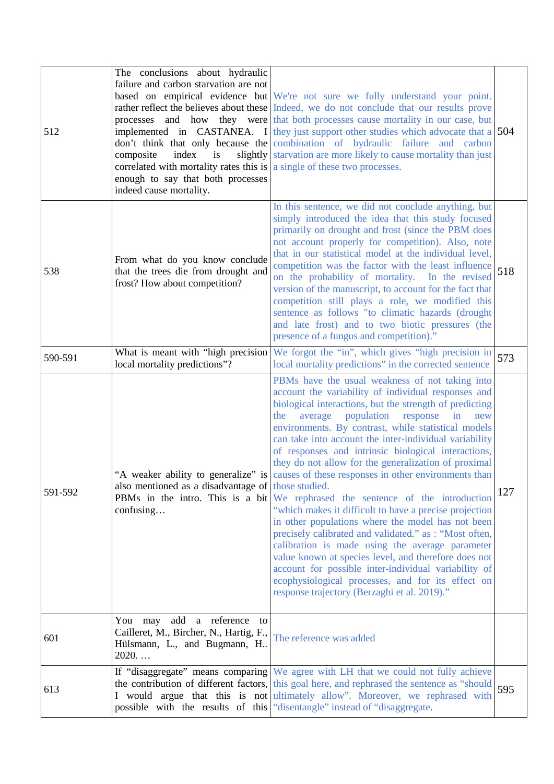| 512     | The conclusions about hydraulic<br>failure and carbon starvation are not<br>index<br>composite<br>is<br>correlated with mortality rates this is $ a \sin \theta $ a single of these two processes.<br>enough to say that both processes<br>indeed cause mortality. | based on empirical evidence but We're not sure we fully understand your point.<br>rather reflect the believes about these Indeed, we do not conclude that our results prove<br>processes and how they were that both processes cause mortality in our case, but<br>implemented in CASTANEA. I they just support other studies which advocate that a 504<br>don't think that only because the combination of hydraulic failure and carbon<br>slightly starvation are more likely to cause mortality than just                                                                                                                                                                                                                                                                                                                                                                                                                                                                                                                                              |     |
|---------|--------------------------------------------------------------------------------------------------------------------------------------------------------------------------------------------------------------------------------------------------------------------|-----------------------------------------------------------------------------------------------------------------------------------------------------------------------------------------------------------------------------------------------------------------------------------------------------------------------------------------------------------------------------------------------------------------------------------------------------------------------------------------------------------------------------------------------------------------------------------------------------------------------------------------------------------------------------------------------------------------------------------------------------------------------------------------------------------------------------------------------------------------------------------------------------------------------------------------------------------------------------------------------------------------------------------------------------------|-----|
| 538     | From what do you know conclude<br>that the trees die from drought and<br>frost? How about competition?                                                                                                                                                             | In this sentence, we did not conclude anything, but<br>simply introduced the idea that this study focused<br>primarily on drought and frost (since the PBM does<br>not account properly for competition). Also, note<br>that in our statistical model at the individual level,<br>competition was the factor with the least influence<br>on the probability of mortality. In the revised<br>version of the manuscript, to account for the fact that<br>competition still plays a role, we modified this<br>sentence as follows "to climatic hazards (drought<br>and late frost) and to two biotic pressures (the<br>presence of a fungus and competition)."                                                                                                                                                                                                                                                                                                                                                                                               | 518 |
| 590-591 | What is meant with "high precision<br>local mortality predictions"?                                                                                                                                                                                                | We forgot the "in", which gives "high precision in<br>local mortality predictions" in the corrected sentence                                                                                                                                                                                                                                                                                                                                                                                                                                                                                                                                                                                                                                                                                                                                                                                                                                                                                                                                              | 573 |
| 591-592 | "A weaker ability to generalize" is<br>also mentioned as a disadvantage of those studied.<br>confusing                                                                                                                                                             | PBMs have the usual weakness of not taking into<br>account the variability of individual responses and<br>biological interactions, but the strength of predicting<br>average population response<br>$\ln$<br>the<br>new<br>environments. By contrast, while statistical models<br>can take into account the inter-individual variability<br>of responses and intrinsic biological interactions,<br>they do not allow for the generalization of proximal<br>causes of these responses in other environments than<br><b>PBMs</b> in the intro. This is a bit We rephrased the sentence of the introduction<br>"which makes it difficult to have a precise projection<br>in other populations where the model has not been<br>precisely calibrated and validated." as : "Most often,<br>calibration is made using the average parameter<br>value known at species level, and therefore does not<br>account for possible inter-individual variability of<br>ecophysiological processes, and for its effect on<br>response trajectory (Berzaghi et al. 2019)." | 127 |
| 601     | You may add a reference<br>to<br>Cailleret, M., Bircher, N., Hartig, F.,<br>Hülsmann, L., and Bugmann, H<br>2020                                                                                                                                                   | The reference was added                                                                                                                                                                                                                                                                                                                                                                                                                                                                                                                                                                                                                                                                                                                                                                                                                                                                                                                                                                                                                                   |     |
| 613     |                                                                                                                                                                                                                                                                    | If "disaggregate" means comparing We agree with LH that we could not fully achieve<br>the contribution of different factors, this goal here, and rephrased the sentence as "should"<br>I would argue that this is not ultimately allow". Moreover, we rephrased with<br>possible with the results of this "disentangle" instead of "disaggregate.                                                                                                                                                                                                                                                                                                                                                                                                                                                                                                                                                                                                                                                                                                         | 595 |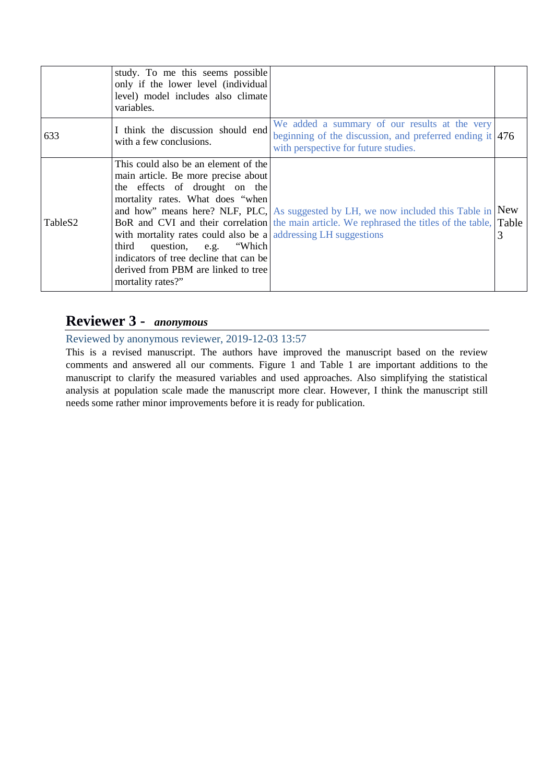|         | study. To me this seems possible<br>only if the lower level (individual<br>level) model includes also climate<br>variables.                                                                                                                                                                                                                                |                                                                                                                                                                                         |   |
|---------|------------------------------------------------------------------------------------------------------------------------------------------------------------------------------------------------------------------------------------------------------------------------------------------------------------------------------------------------------------|-----------------------------------------------------------------------------------------------------------------------------------------------------------------------------------------|---|
| 633     | I think the discussion should end<br>with a few conclusions.                                                                                                                                                                                                                                                                                               | We added a summary of our results at the very<br>beginning of the discussion, and preferred ending it $ 476 $<br>with perspective for future studies.                                   |   |
| TableS2 | This could also be an element of the<br>main article. Be more precise about<br>the effects of drought on the<br>mortality rates. What does "when<br>with mortality rates could also be a addressing LH suggestions<br>question, e.g. "Which<br>third<br>indicators of tree decline that can be<br>derived from PBM are linked to tree<br>mortality rates?" | and how" means here? NLF, PLC, As suggested by LH, we now included this Table in New<br>BoR and CVI and their correlation the main article. We rephrased the titles of the table, Table | 3 |

# **Reviewer 3 -** *anonymous*

Reviewed by anonymous reviewer, 2019-12-03 13:57

This is a revised manuscript. The authors have improved the manuscript based on the review comments and answered all our comments. Figure 1 and Table 1 are important additions to the manuscript to clarify the measured variables and used approaches. Also simplifying the statistical analysis at population scale made the manuscript more clear. However, I think the manuscript still needs some rather minor improvements before it is ready for publication.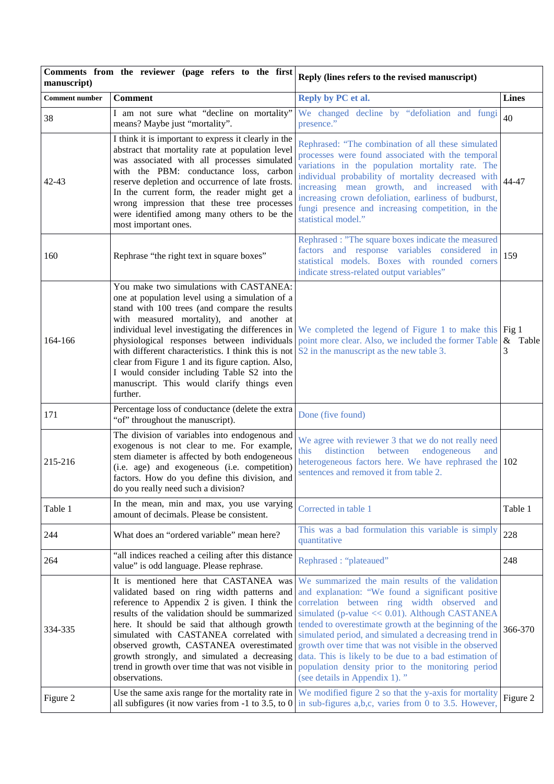| Comments from the reviewer (page refers to the first<br>manuscript) |                                                                                                                                                                                                                                                                                                                                                                                                                                                                                                                   | Reply (lines refers to the revised manuscript)                                                                                                                                                                                                                                                                                                                                                                                                                                                                                   |              |
|---------------------------------------------------------------------|-------------------------------------------------------------------------------------------------------------------------------------------------------------------------------------------------------------------------------------------------------------------------------------------------------------------------------------------------------------------------------------------------------------------------------------------------------------------------------------------------------------------|----------------------------------------------------------------------------------------------------------------------------------------------------------------------------------------------------------------------------------------------------------------------------------------------------------------------------------------------------------------------------------------------------------------------------------------------------------------------------------------------------------------------------------|--------------|
| <b>Comment number</b>                                               | <b>Comment</b>                                                                                                                                                                                                                                                                                                                                                                                                                                                                                                    | Reply by PC et al.                                                                                                                                                                                                                                                                                                                                                                                                                                                                                                               | <b>Lines</b> |
| 38                                                                  | I am not sure what "decline on mortality"<br>means? Maybe just "mortality".                                                                                                                                                                                                                                                                                                                                                                                                                                       | We changed decline by "defoliation and fungi<br>presence."                                                                                                                                                                                                                                                                                                                                                                                                                                                                       | 40           |
| 42-43                                                               | I think it is important to express it clearly in the<br>abstract that mortality rate at population level<br>was associated with all processes simulated<br>with the PBM: conductance loss, carbon<br>reserve depletion and occurrence of late frosts.<br>In the current form, the reader might get a<br>wrong impression that these tree processes<br>were identified among many others to be the<br>most important ones.                                                                                         | Rephrased: "The combination of all these simulated<br>processes were found associated with the temporal<br>variations in the population mortality rate. The<br>individual probability of mortality decreased with<br>increasing mean growth, and increased with<br>increasing crown defoliation, earliness of budburst,<br>fungi presence and increasing competition, in the<br>statistical model."                                                                                                                              | 44-47        |
| 160                                                                 | Rephrase "the right text in square boxes"                                                                                                                                                                                                                                                                                                                                                                                                                                                                         | Rephrased : "The square boxes indicate the measured<br>factors and response variables considered in<br>statistical models. Boxes with rounded corners<br>indicate stress-related output variables"                                                                                                                                                                                                                                                                                                                               | 159          |
| 164-166                                                             | You make two simulations with CASTANEA:<br>one at population level using a simulation of a<br>stand with 100 trees (and compare the results<br>with measured mortality), and another at<br>individual level investigating the differences in<br>physiological responses between individuals<br>with different characteristics. I think this is not<br>clear from Figure 1 and its figure caption. Also,<br>I would consider including Table S2 into the<br>manuscript. This would clarify things even<br>further. | We completed the legend of Figure 1 to make this Fig 1<br>point more clear. Also, we included the former Table $\&$<br>S2 in the manuscript as the new table 3.                                                                                                                                                                                                                                                                                                                                                                  | Table<br>3   |
| 171                                                                 | Percentage loss of conductance (delete the extra<br>"of" throughout the manuscript).                                                                                                                                                                                                                                                                                                                                                                                                                              | Done (five found)                                                                                                                                                                                                                                                                                                                                                                                                                                                                                                                |              |
| 215-216                                                             | The division of variables into endogenous and<br>exogenous is not clear to me. For example,<br>stem diameter is affected by both endogeneous<br>(i.e. age) and exogeneous (i.e. competition)<br>factors. How do you define this division, and<br>do you really need such a division?                                                                                                                                                                                                                              | We agree with reviewer 3 that we do not really need<br>this<br>distinction between<br>endogeneous<br>and<br>heterogeneous factors here. We have rephrased the 102<br>sentences and removed it from table 2.                                                                                                                                                                                                                                                                                                                      |              |
| Table 1                                                             | In the mean, min and max, you use varying<br>amount of decimals. Please be consistent.                                                                                                                                                                                                                                                                                                                                                                                                                            | Corrected in table 1                                                                                                                                                                                                                                                                                                                                                                                                                                                                                                             | Table 1      |
| 244                                                                 | What does an "ordered variable" mean here?                                                                                                                                                                                                                                                                                                                                                                                                                                                                        | This was a bad formulation this variable is simply<br>quantitative                                                                                                                                                                                                                                                                                                                                                                                                                                                               | 228          |
| 264                                                                 | "all indices reached a ceiling after this distance<br>value" is odd language. Please rephrase.                                                                                                                                                                                                                                                                                                                                                                                                                    | Rephrased: "plateaued"                                                                                                                                                                                                                                                                                                                                                                                                                                                                                                           | 248          |
| 334-335                                                             | It is mentioned here that CASTANEA was<br>validated based on ring width patterns and<br>reference to Appendix 2 is given. I think the<br>results of the validation should be summarized<br>here. It should be said that although growth<br>simulated with CASTANEA correlated with<br>observed growth, CASTANEA overestimated<br>growth strongly, and simulated a decreasing<br>trend in growth over time that was not visible in<br>observations.                                                                | We summarized the main results of the validation<br>and explanation: "We found a significant positive<br>correlation between ring width observed and<br>simulated (p-value << 0.01). Although CASTANEA<br>tended to overestimate growth at the beginning of the<br>simulated period, and simulated a decreasing trend in<br>growth over time that was not visible in the observed<br>data. This is likely to be due to a bad estimation of<br>population density prior to the monitoring period<br>(see details in Appendix 1)." | 366-370      |
| Figure 2                                                            | Use the same axis range for the mortality rate in<br>all subfigures (it now varies from -1 to 3.5, to $0$ )                                                                                                                                                                                                                                                                                                                                                                                                       | We modified figure 2 so that the y-axis for mortality<br>in sub-figures a,b,c, varies from 0 to 3.5. However,                                                                                                                                                                                                                                                                                                                                                                                                                    | Figure 2     |